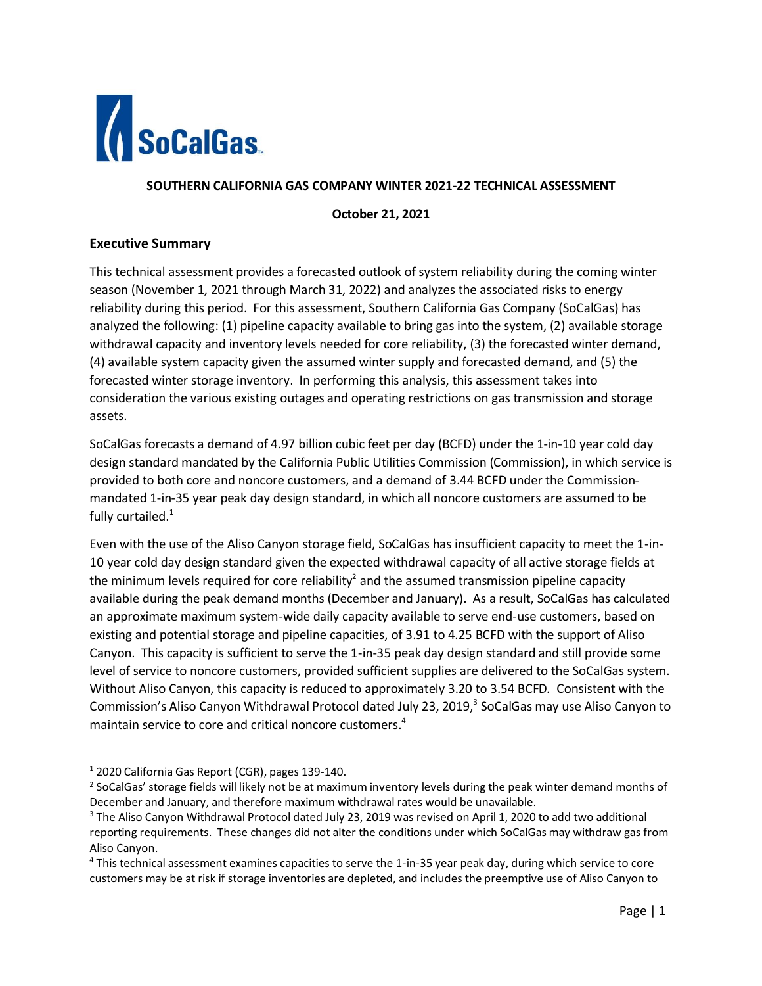

## **SOUTHERN CALIFORNIA GAS COMPANY WINTER 2021-22 TECHNICAL ASSESSMENT**

**October 21, 2021**

### **Executive Summary**

This technical assessment provides a forecasted outlook of system reliability during the coming winter season (November 1, 2021 through March 31, 2022) and analyzes the associated risks to energy reliability during this period. For this assessment, Southern California Gas Company (SoCalGas) has analyzed the following: (1) pipeline capacity available to bring gas into the system, (2) available storage withdrawal capacity and inventory levels needed for core reliability, (3) the forecasted winter demand, (4) available system capacity given the assumed winter supply and forecasted demand, and (5) the forecasted winter storage inventory. In performing this analysis, this assessment takes into consideration the various existing outages and operating restrictions on gas transmission and storage assets.

SoCalGas forecasts a demand of 4.97 billion cubic feet per day (BCFD) under the 1-in-10 year cold day design standard mandated by the California Public Utilities Commission (Commission), in which service is provided to both core and noncore customers, and a demand of 3.44 BCFD under the Commissionmandated 1-in-35 year peak day design standard, in which all noncore customers are assumed to be fully curtailed. $1$ 

Even with the use of the Aliso Canyon storage field, SoCalGas has insufficient capacity to meet the 1-in-10 year cold day design standard given the expected withdrawal capacity of all active storage fields at the minimum levels required for core reliability<sup>2</sup> and the assumed transmission pipeline capacity available during the peak demand months (December and January). As a result, SoCalGas has calculated an approximate maximum system-wide daily capacity available to serve end-use customers, based on existing and potential storage and pipeline capacities, of 3.91 to 4.25 BCFD with the support of Aliso Canyon. This capacity is sufficient to serve the 1-in-35 peak day design standard and still provide some level of service to noncore customers, provided sufficient supplies are delivered to the SoCalGas system. Without Aliso Canyon, this capacity is reduced to approximately 3.20 to 3.54 BCFD. Consistent with the Commission's Aliso Canyon Withdrawal Protocol dated July 23, 2019,<sup>3</sup> SoCalGas may use Aliso Canyon to maintain service to core and critical noncore customers. 4

<sup>1</sup> 2020 California Gas Report (CGR), pages 139-140.

 $2$  SoCalGas' storage fields will likely not be at maximum inventory levels during the peak winter demand months of December and January, and therefore maximum withdrawal rates would be unavailable.

<sup>&</sup>lt;sup>3</sup> The Aliso Canyon Withdrawal Protocol dated July 23, 2019 was revised on April 1, 2020 to add two additional reporting requirements. These changes did not alter the conditions under which SoCalGas may withdraw gas from Aliso Canyon.

<sup>4</sup> This technical assessment examines capacities to serve the 1-in-35 year peak day, during which service to core customers may be at risk if storage inventories are depleted, and includes the preemptive use of Aliso Canyon to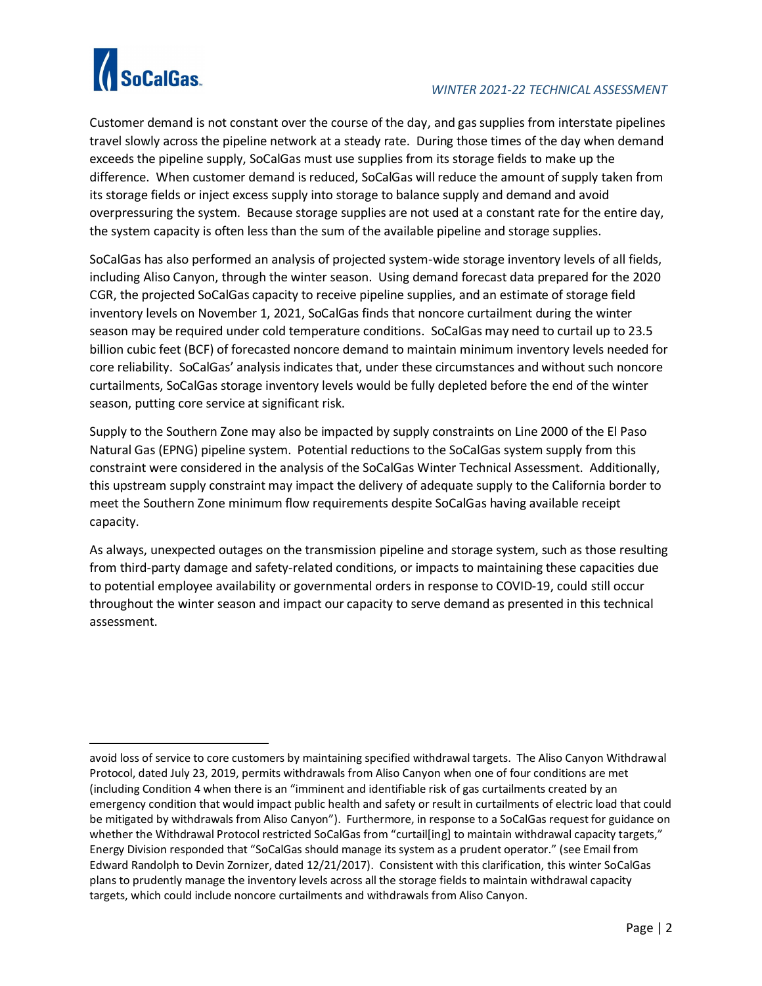

Customer demand is not constant over the course of the day, and gas supplies from interstate pipelines travel slowly across the pipeline network at a steady rate. During those times of the day when demand exceeds the pipeline supply, SoCalGas must use supplies from its storage fields to make up the difference. When customer demand is reduced, SoCalGas will reduce the amount of supply taken from its storage fields or inject excess supply into storage to balance supply and demand and avoid overpressuring the system. Because storage supplies are not used at a constant rate for the entire day, the system capacity is often less than the sum of the available pipeline and storage supplies.

SoCalGas has also performed an analysis of projected system-wide storage inventory levels of all fields, including Aliso Canyon, through the winter season. Using demand forecast data prepared for the 2020 CGR, the projected SoCalGas capacity to receive pipeline supplies, and an estimate of storage field inventory levels on November 1, 2021, SoCalGas finds that noncore curtailment during the winter season may be required under cold temperature conditions. SoCalGas may need to curtail up to 23.5 billion cubic feet (BCF) of forecasted noncore demand to maintain minimum inventory levels needed for core reliability. SoCalGas' analysis indicates that, under these circumstances and without such noncore curtailments, SoCalGas storage inventory levels would be fully depleted before the end of the winter season, putting core service at significant risk.

Supply to the Southern Zone may also be impacted by supply constraints on Line 2000 of the El Paso Natural Gas (EPNG) pipeline system. Potential reductions to the SoCalGas system supply from this constraint were considered in the analysis of the SoCalGas Winter Technical Assessment. Additionally, this upstream supply constraint may impact the delivery of adequate supply to the California border to meet the Southern Zone minimum flow requirements despite SoCalGas having available receipt capacity.

As always, unexpected outages on the transmission pipeline and storage system, such as those resulting from third‐party damage and safety‐related conditions, or impacts to maintaining these capacities due to potential employee availability or governmental orders in response to COVID‐19, could still occur throughout the winter season and impact our capacity to serve demand as presented in this technical assessment.

avoid loss of service to core customers by maintaining specified withdrawal targets. The Aliso Canyon Withdrawal Protocol, dated July 23, 2019, permits withdrawals from Aliso Canyon when one of four conditions are met (including Condition 4 when there is an "imminent and identifiable risk of gas curtailments created by an emergency condition that would impact public health and safety or result in curtailments of electric load that could be mitigated by withdrawals from Aliso Canyon"). Furthermore, in response to a SoCalGas request for guidance on whether the Withdrawal Protocol restricted SoCalGas from "curtail[ing] to maintain withdrawal capacity targets," Energy Division responded that "SoCalGas should manage its system as a prudent operator." (see Email from Edward Randolph to Devin Zornizer, dated 12/21/2017). Consistent with this clarification, this winter SoCalGas plans to prudently manage the inventory levels across all the storage fields to maintain withdrawal capacity targets, which could include noncore curtailments and withdrawals from Aliso Canyon.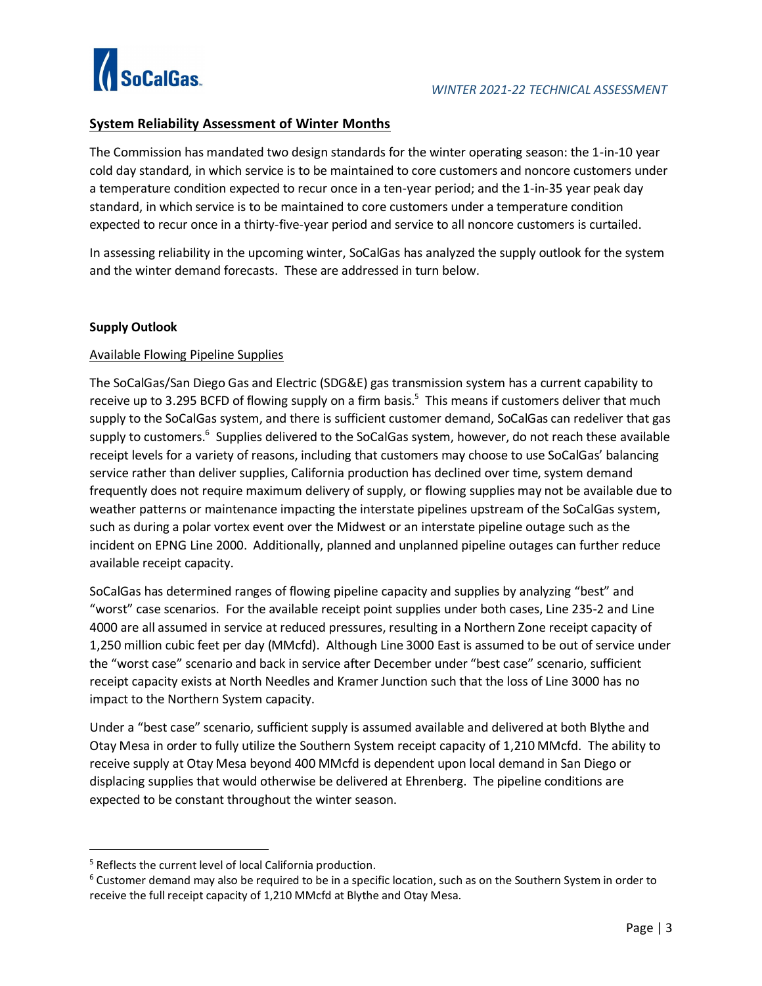

# **System Reliability Assessment of Winter Months**

The Commission has mandated two design standards for the winter operating season: the 1-in-10 year cold day standard, in which service is to be maintained to core customers and noncore customers under a temperature condition expected to recur once in a ten-year period; and the 1-in-35 year peak day standard, in which service is to be maintained to core customers under a temperature condition expected to recur once in a thirty-five-year period and service to all noncore customers is curtailed.

In assessing reliability in the upcoming winter, SoCalGas has analyzed the supply outlook for the system and the winter demand forecasts. These are addressed in turn below.

## **Supply Outlook**

## Available Flowing Pipeline Supplies

The SoCalGas/San Diego Gas and Electric (SDG&E) gas transmission system has a current capability to receive up to 3.295 BCFD of flowing supply on a firm basis.<sup>5</sup> This means if customers deliver that much supply to the SoCalGas system, and there is sufficient customer demand, SoCalGas can redeliver that gas supply to customers.<sup>6</sup> Supplies delivered to the SoCalGas system, however, do not reach these available receipt levels for a variety of reasons, including that customers may choose to use SoCalGas' balancing service rather than deliver supplies, California production has declined over time, system demand frequently does not require maximum delivery of supply, or flowing supplies may not be available due to weather patterns or maintenance impacting the interstate pipelines upstream of the SoCalGas system, such as during a polar vortex event over the Midwest or an interstate pipeline outage such as the incident on EPNG Line 2000. Additionally, planned and unplanned pipeline outages can further reduce available receipt capacity.

SoCalGas has determined ranges of flowing pipeline capacity and supplies by analyzing "best" and "worst" case scenarios. For the available receipt point supplies under both cases, Line 235-2 and Line 4000 are all assumed in service at reduced pressures, resulting in a Northern Zone receipt capacity of 1,250 million cubic feet per day (MMcfd). Although Line 3000 East is assumed to be out of service under the "worst case" scenario and back in service after December under "best case" scenario, sufficient receipt capacity exists at North Needles and Kramer Junction such that the loss of Line 3000 has no impact to the Northern System capacity.

Under a "best case" scenario, sufficient supply is assumed available and delivered at both Blythe and Otay Mesa in order to fully utilize the Southern System receipt capacity of 1,210 MMcfd. The ability to receive supply at Otay Mesa beyond 400 MMcfd is dependent upon local demand in San Diego or displacing supplies that would otherwise be delivered at Ehrenberg. The pipeline conditions are expected to be constant throughout the winter season.

<sup>5</sup> Reflects the current level of local California production.

 $6$  Customer demand may also be required to be in a specific location, such as on the Southern System in order to receive the full receipt capacity of 1,210 MMcfd at Blythe and Otay Mesa.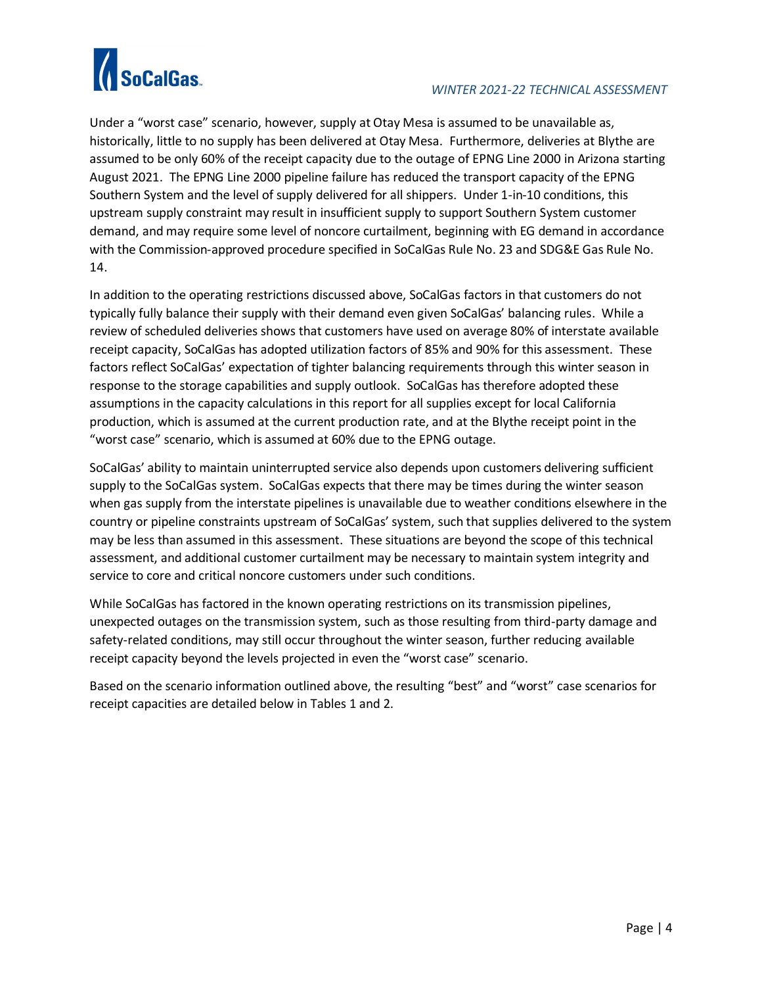

Under a "worst case" scenario, however, supply at Otay Mesa is assumed to be unavailable as, historically, little to no supply has been delivered at Otay Mesa. Furthermore, deliveries at Blythe are assumed to be only 60% of the receipt capacity due to the outage of EPNG Line 2000 in Arizona starting August 2021. The EPNG Line 2000 pipeline failure has reduced the transport capacity of the EPNG Southern System and the level of supply delivered for all shippers. Under 1-in-10 conditions, this upstream supply constraint may result in insufficient supply to support Southern System customer demand, and may require some level of noncore curtailment, beginning with EG demand in accordance with the Commission-approved procedure specified in SoCalGas Rule No. 23 and SDG&E Gas Rule No. 14.

In addition to the operating restrictions discussed above, SoCalGas factors in that customers do not typically fully balance their supply with their demand even given SoCalGas' balancing rules. While a review of scheduled deliveries shows that customers have used on average 80% of interstate available receipt capacity, SoCalGas has adopted utilization factors of 85% and 90% for this assessment. These factors reflect SoCalGas' expectation of tighter balancing requirements through this winter season in response to the storage capabilities and supply outlook. SoCalGas has therefore adopted these assumptions in the capacity calculations in this report for all supplies except for local California production, which is assumed at the current production rate, and at the Blythe receipt point in the "worst case" scenario, which is assumed at 60% due to the EPNG outage.

SoCalGas' ability to maintain uninterrupted service also depends upon customers delivering sufficient supply to the SoCalGas system. SoCalGas expects that there may be times during the winter season when gas supply from the interstate pipelines is unavailable due to weather conditions elsewhere in the country or pipeline constraints upstream of SoCalGas' system, such that supplies delivered to the system may be less than assumed in this assessment. These situations are beyond the scope of this technical assessment, and additional customer curtailment may be necessary to maintain system integrity and service to core and critical noncore customers under such conditions.

While SoCalGas has factored in the known operating restrictions on its transmission pipelines, unexpected outages on the transmission system, such as those resulting from third-party damage and safety-related conditions, may still occur throughout the winter season, further reducing available receipt capacity beyond the levels projected in even the "worst case" scenario.

Based on the scenario information outlined above, the resulting "best" and "worst" case scenarios for receipt capacities are detailed below in Tables 1 and 2.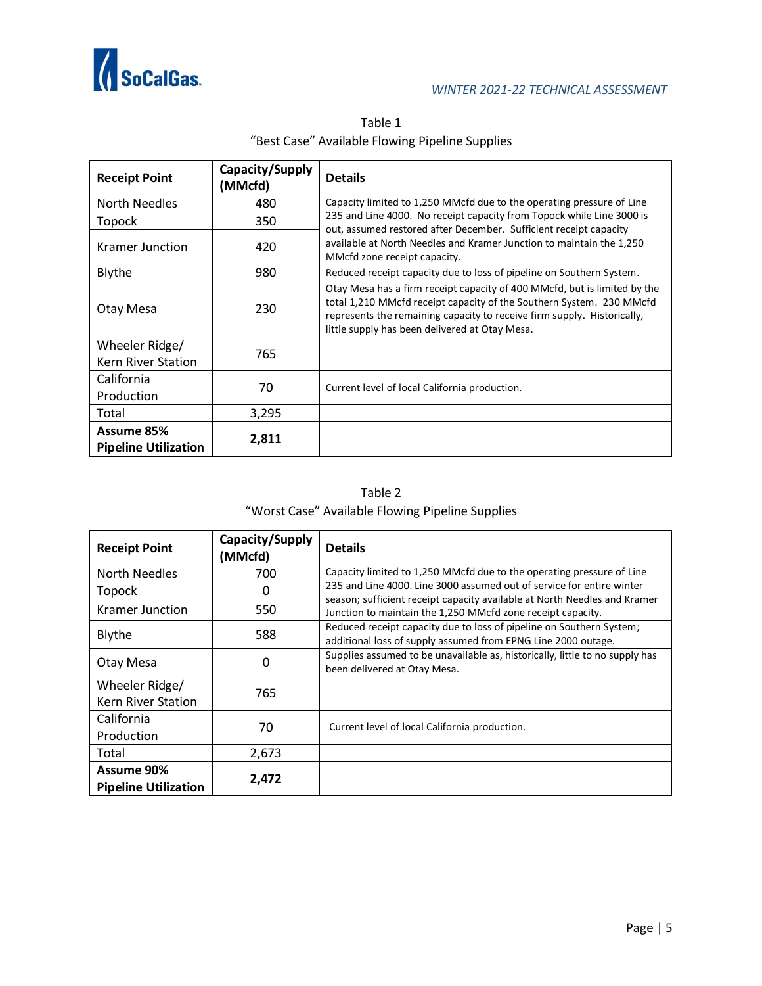

| <b>Receipt Point</b>                      | Capacity/Supply<br>(MMcfd) | <b>Details</b>                                                                                                                                                                                                                                                                 |
|-------------------------------------------|----------------------------|--------------------------------------------------------------------------------------------------------------------------------------------------------------------------------------------------------------------------------------------------------------------------------|
| North Needles                             | 480                        | Capacity limited to 1,250 MMcfd due to the operating pressure of Line                                                                                                                                                                                                          |
| Topock                                    | 350                        | 235 and Line 4000. No receipt capacity from Topock while Line 3000 is<br>out, assumed restored after December. Sufficient receipt capacity                                                                                                                                     |
| Kramer Junction                           | 420                        | available at North Needles and Kramer Junction to maintain the 1,250<br>MMcfd zone receipt capacity.                                                                                                                                                                           |
| <b>Blythe</b>                             | 980                        | Reduced receipt capacity due to loss of pipeline on Southern System.                                                                                                                                                                                                           |
| Otay Mesa                                 | 230                        | Otay Mesa has a firm receipt capacity of 400 MMcfd, but is limited by the<br>total 1,210 MMcfd receipt capacity of the Southern System. 230 MMcfd<br>represents the remaining capacity to receive firm supply. Historically,<br>little supply has been delivered at Otay Mesa. |
| Wheeler Ridge/                            | 765                        |                                                                                                                                                                                                                                                                                |
| Kern River Station                        |                            |                                                                                                                                                                                                                                                                                |
| California                                | 70                         | Current level of local California production.                                                                                                                                                                                                                                  |
| Production                                |                            |                                                                                                                                                                                                                                                                                |
| Total                                     | 3,295                      |                                                                                                                                                                                                                                                                                |
| Assume 85%<br><b>Pipeline Utilization</b> | 2,811                      |                                                                                                                                                                                                                                                                                |

Table 1 "Best Case" Available Flowing Pipeline Supplies

Table 2 "Worst Case" Available Flowing Pipeline Supplies

| <b>Receipt Point</b>                      | Capacity/Supply<br>(MMcfd) | <b>Details</b>                                                                                                                           |
|-------------------------------------------|----------------------------|------------------------------------------------------------------------------------------------------------------------------------------|
| North Needles                             | 700                        | Capacity limited to 1,250 MMcfd due to the operating pressure of Line                                                                    |
| <b>Topock</b>                             | 0                          | 235 and Line 4000. Line 3000 assumed out of service for entire winter                                                                    |
| Kramer Junction                           | 550                        | season; sufficient receipt capacity available at North Needles and Kramer<br>Junction to maintain the 1,250 MMcfd zone receipt capacity. |
| Blythe                                    | 588                        | Reduced receipt capacity due to loss of pipeline on Southern System;<br>additional loss of supply assumed from EPNG Line 2000 outage.    |
| Otay Mesa                                 | 0                          | Supplies assumed to be unavailable as, historically, little to no supply has<br>been delivered at Otay Mesa.                             |
| Wheeler Ridge/                            | 765                        |                                                                                                                                          |
| Kern River Station                        |                            |                                                                                                                                          |
| California                                | 70                         |                                                                                                                                          |
| Production                                |                            | Current level of local California production.                                                                                            |
| Total                                     | 2,673                      |                                                                                                                                          |
| Assume 90%<br><b>Pipeline Utilization</b> | 2,472                      |                                                                                                                                          |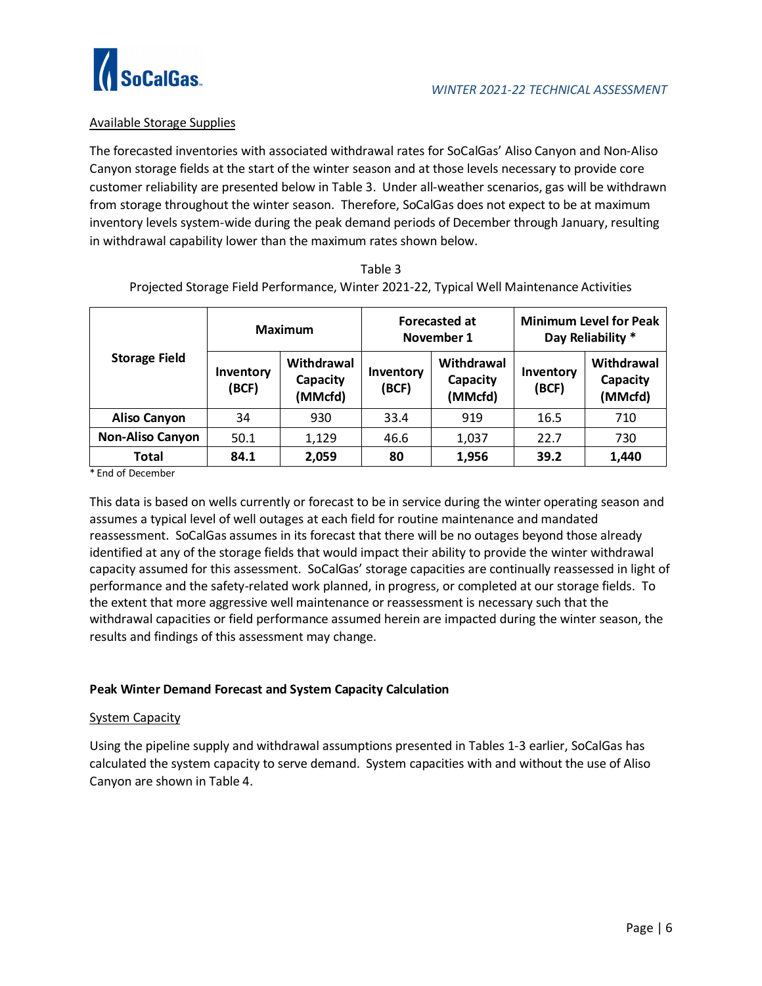

## Available Storage Supplies

The forecasted inventories with associated withdrawal rates for SoCalGas' Aliso Canyon and Non-Aliso Canyon storage fields at the start of the winter season and at those levels necessary to provide core customer reliability are presented below in Table 3. Under all-weather scenarios, gas will be withdrawn from storage throughout the winter season. Therefore, SoCalGas does not expect to be at maximum inventory levels system-wide during the peak demand periods of December through January, resulting in withdrawal capability lower than the maximum rates shown below.

| <b>Storage Field</b>    | Maximum            |                                   |                    | <b>Forecasted at</b><br>November 1 | <b>Minimum Level for Peak</b><br>Day Reliability * |                                   |
|-------------------------|--------------------|-----------------------------------|--------------------|------------------------------------|----------------------------------------------------|-----------------------------------|
|                         | Inventory<br>(BCF) | Withdrawal<br>Capacity<br>(MMcfd) | Inventory<br>(BCF) | Withdrawal<br>Capacity<br>(MMcfd)  | Inventory<br>(BCF)                                 | Withdrawal<br>Capacity<br>(MMcfd) |
| <b>Aliso Canyon</b>     | 34                 | 930                               | 33.4               | 919                                | 16.5                                               | 710                               |
| <b>Non-Aliso Canyon</b> | 50.1               | 1,129                             | 46.6               | 1,037                              | 22.7                                               | 730                               |
| Total                   | 84.1               | 2,059                             | 80                 | 1,956                              | 39.2                                               | 1,440                             |

| Table 3                                                                                  |
|------------------------------------------------------------------------------------------|
| Projected Storage Field Performance, Winter 2021-22, Typical Well Maintenance Activities |

\* End of December

This data is based on wells currently or forecast to be in service during the winter operating season and assumes a typical level of well outages at each field for routine maintenance and mandated reassessment. SoCalGas assumes in its forecast that there will be no outages beyond those already identified at any of the storage fields that would impact their ability to provide the winter withdrawal capacity assumed for this assessment. SoCalGas' storage capacities are continually reassessed in light of performance and the safety-related work planned, in progress, or completed at our storage fields. To the extent that more aggressive well maintenance or reassessment is necessary such that the withdrawal capacities or field performance assumed herein are impacted during the winter season, the results and findings of this assessment may change.

### **Peak Winter Demand Forecast and System Capacity Calculation**

#### System Capacity

Using the pipeline supply and withdrawal assumptions presented in Tables 1-3 earlier, SoCalGas has calculated the system capacity to serve demand. System capacities with and without the use of Aliso Canyon are shown in Table 4.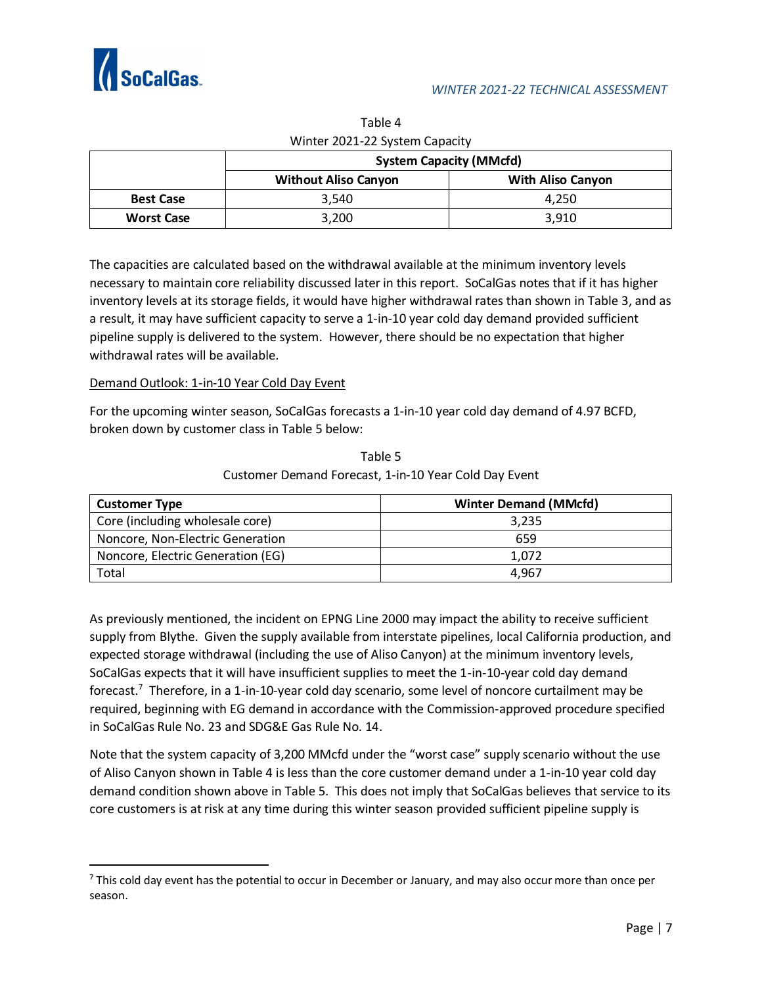

| VVIIILCI ZUZI ZZ JYSLCIII CAPACILY |                                                         |       |  |  |  |  |  |
|------------------------------------|---------------------------------------------------------|-------|--|--|--|--|--|
|                                    | <b>System Capacity (MMcfd)</b>                          |       |  |  |  |  |  |
|                                    | <b>With Aliso Canyon</b><br><b>Without Aliso Canyon</b> |       |  |  |  |  |  |
| <b>Best Case</b>                   | 3.540                                                   | 4.250 |  |  |  |  |  |
| <b>Worst Case</b>                  | 3,200                                                   | 3.910 |  |  |  |  |  |

Table 4 Winter 2021-22 System Canacity

The capacities are calculated based on the withdrawal available at the minimum inventory levels necessary to maintain core reliability discussed later in this report. SoCalGas notes that if it has higher inventory levels at its storage fields, it would have higher withdrawal rates than shown in Table 3, and as a result, it may have sufficient capacity to serve a 1-in-10 year cold day demand provided sufficient pipeline supply is delivered to the system. However, there should be no expectation that higher withdrawal rates will be available.

## Demand Outlook: 1-in-10 Year Cold Day Event

For the upcoming winter season, SoCalGas forecasts a 1-in-10 year cold day demand of 4.97 BCFD, broken down by customer class in Table 5 below:

| <b>Customer Type</b>              | <b>Winter Demand (MMcfd)</b> |  |  |  |
|-----------------------------------|------------------------------|--|--|--|
| Core (including wholesale core)   | 3.235                        |  |  |  |
| Noncore, Non-Electric Generation  | 659                          |  |  |  |
| Noncore, Electric Generation (EG) | 1.072                        |  |  |  |
| Total                             | 4.967                        |  |  |  |

Table 5 Customer Demand Forecast, 1-in-10 Year Cold Day Event

As previously mentioned, the incident on EPNG Line 2000 may impact the ability to receive sufficient supply from Blythe. Given the supply available from interstate pipelines, local California production, and expected storage withdrawal (including the use of Aliso Canyon) at the minimum inventory levels, SoCalGas expects that it will have insufficient supplies to meet the 1-in-10-year cold day demand forecast.<sup>7</sup> Therefore, in a 1-in-10-year cold day scenario, some level of noncore curtailment may be required, beginning with EG demand in accordance with the Commission-approved procedure specified in SoCalGas Rule No. 23 and SDG&E Gas Rule No. 14.

Note that the system capacity of 3,200 MMcfd under the "worst case" supply scenario without the use of Aliso Canyon shown in Table 4 is less than the core customer demand under a 1-in-10 year cold day demand condition shown above in Table 5. This does not imply that SoCalGas believes that service to its core customers is at risk at any time during this winter season provided sufficient pipeline supply is

 $<sup>7</sup>$  This cold day event has the potential to occur in December or January, and may also occur more than once per</sup> season.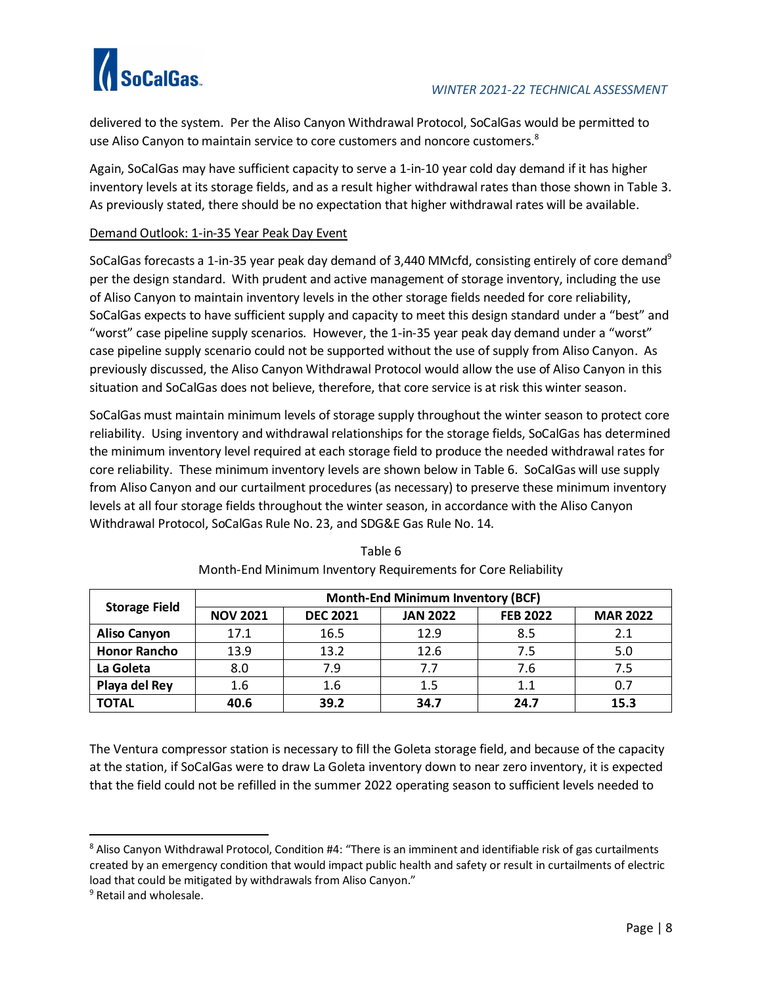

delivered to the system. Per the Aliso Canyon Withdrawal Protocol, SoCalGas would be permitted to use Aliso Canyon to maintain service to core customers and noncore customers.<sup>8</sup>

Again, SoCalGas may have sufficient capacity to serve a 1-in-10 year cold day demand if it has higher inventory levels at its storage fields, and as a result higher withdrawal rates than those shown in Table 3. As previously stated, there should be no expectation that higher withdrawal rates will be available.

#### Demand Outlook: 1-in-35 Year Peak Day Event

SoCalGas forecasts a 1-in-35 year peak day demand of 3,440 MMcfd, consisting entirely of core demand<sup>9</sup> per the design standard. With prudent and active management of storage inventory, including the use of Aliso Canyon to maintain inventory levels in the other storage fields needed for core reliability, SoCalGas expects to have sufficient supply and capacity to meet this design standard under a "best" and "worst" case pipeline supply scenarios. However, the 1-in-35 year peak day demand under a "worst" case pipeline supply scenario could not be supported without the use of supply from Aliso Canyon. As previously discussed, the Aliso Canyon Withdrawal Protocol would allow the use of Aliso Canyon in this situation and SoCalGas does not believe, therefore, that core service is at risk this winter season.

SoCalGas must maintain minimum levels of storage supply throughout the winter season to protect core reliability. Using inventory and withdrawal relationships for the storage fields, SoCalGas has determined the minimum inventory level required at each storage field to produce the needed withdrawal rates for core reliability. These minimum inventory levels are shown below in Table 6. SoCalGas will use supply from Aliso Canyon and our curtailment procedures (as necessary) to preserve these minimum inventory levels at all four storage fields throughout the winter season, in accordance with the Aliso Canyon Withdrawal Protocol, SoCalGas Rule No. 23, and SDG&E Gas Rule No. 14.

| <b>Storage Field</b> | <b>Month-End Minimum Inventory (BCF)</b> |                 |                 |                 |                 |  |  |  |  |
|----------------------|------------------------------------------|-----------------|-----------------|-----------------|-----------------|--|--|--|--|
|                      | <b>NOV 2021</b>                          | <b>DEC 2021</b> | <b>JAN 2022</b> | <b>FEB 2022</b> | <b>MAR 2022</b> |  |  |  |  |
| <b>Aliso Canyon</b>  | 17.1                                     | 16.5            | 12.9            | 8.5             | 2.1             |  |  |  |  |
| <b>Honor Rancho</b>  | 13.9                                     | 13.2            | 12.6            | 7.5             | 5.0             |  |  |  |  |
| La Goleta            | 8.0                                      | 7.9             | 7.7             | 7.6             | 7.5             |  |  |  |  |
| Playa del Rey        | 1.6                                      | 1.6             | 1.5             | 1.1             | 0.7             |  |  |  |  |
| <b>TOTAL</b>         | 40.6                                     | 39.2            | 34.7            | 24.7            | 15.3            |  |  |  |  |

Table 6 Month-End Minimum Inventory Requirements for Core Reliability

The Ventura compressor station is necessary to fill the Goleta storage field, and because of the capacity at the station, if SoCalGas were to draw La Goleta inventory down to near zero inventory, it is expected that the field could not be refilled in the summer 2022 operating season to sufficient levels needed to

<sup>&</sup>lt;sup>8</sup> Aliso Canyon Withdrawal Protocol, Condition #4: "There is an imminent and identifiable risk of gas curtailments created by an emergency condition that would impact public health and safety or result in curtailments of electric load that could be mitigated by withdrawals from Aliso Canyon."

<sup>&</sup>lt;sup>9</sup> Retail and wholesale.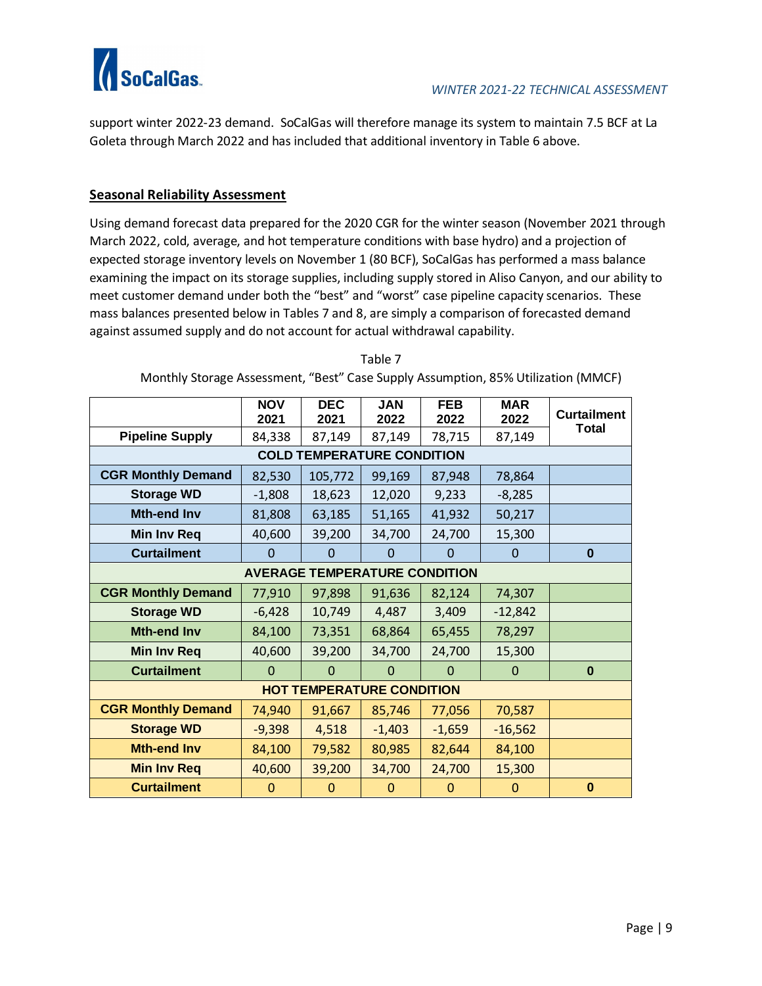

support winter 2022-23 demand. SoCalGas will therefore manage its system to maintain 7.5 BCF at La Goleta through March 2022 and has included that additional inventory in Table 6 above.

# **Seasonal Reliability Assessment**

Using demand forecast data prepared for the 2020 CGR for the winter season (November 2021 through March 2022, cold, average, and hot temperature conditions with base hydro) and a projection of expected storage inventory levels on November 1 (80 BCF), SoCalGas has performed a mass balance examining the impact on its storage supplies, including supply stored in Aliso Canyon, and our ability to meet customer demand under both the "best" and "worst" case pipeline capacity scenarios. These mass balances presented below in Tables 7 and 8, are simply a comparison of forecasted demand against assumed supply and do not account for actual withdrawal capability.

|                                  | <b>NOV</b><br>2021 | <b>DEC</b><br>2021                   | <b>JAN</b><br>2022 | <b>FEB</b><br>2022 | <b>MAR</b><br>2022 | <b>Curtailment</b> |  |
|----------------------------------|--------------------|--------------------------------------|--------------------|--------------------|--------------------|--------------------|--|
| <b>Pipeline Supply</b>           | 84,338             | 87,149                               | 87,149             | 78,715             | 87,149             | <b>Total</b>       |  |
|                                  |                    | <b>COLD TEMPERATURE CONDITION</b>    |                    |                    |                    |                    |  |
| <b>CGR Monthly Demand</b>        | 82,530             | 105,772                              | 99,169             | 87,948             | 78,864             |                    |  |
| <b>Storage WD</b>                | $-1,808$           | 18,623                               | 12,020             | 9,233              | $-8,285$           |                    |  |
| <b>Mth-end Inv</b>               | 81,808             | 63,185                               | 51,165             | 41,932             | 50,217             |                    |  |
| <b>Min Inv Req</b>               | 40,600             | 39,200                               | 34,700             | 24,700             | 15,300             |                    |  |
| <b>Curtailment</b>               | 0                  | $\Omega$                             | $\mathbf 0$        | 0                  | $\Omega$           | $\bf{0}$           |  |
|                                  |                    | <b>AVERAGE TEMPERATURE CONDITION</b> |                    |                    |                    |                    |  |
| <b>CGR Monthly Demand</b>        | 77,910             | 97,898                               | 91,636             | 82,124             | 74,307             |                    |  |
| <b>Storage WD</b>                | $-6,428$           | 10,749                               | 4,487              | 3,409              | $-12,842$          |                    |  |
| <b>Mth-end Inv</b>               | 84,100             | 73,351                               | 68,864             | 65,455             | 78,297             |                    |  |
| Min Inv Req                      | 40,600             | 39,200                               | 34,700             | 24,700             | 15,300             |                    |  |
| <b>Curtailment</b>               | $\Omega$           | $\Omega$                             | $\Omega$           | $\Omega$           | $\Omega$           | $\bf{0}$           |  |
| <b>HOT TEMPERATURE CONDITION</b> |                    |                                      |                    |                    |                    |                    |  |
| <b>CGR Monthly Demand</b>        | 74,940             | 91,667                               | 85,746             | 77,056             | 70,587             |                    |  |
| <b>Storage WD</b>                | $-9,398$           | 4,518                                | $-1,403$           | $-1,659$           | $-16,562$          |                    |  |
| <b>Mth-end Inv</b>               | 84,100             | 79,582                               | 80,985             | 82,644             | 84,100             |                    |  |
| <b>Min Inv Req</b>               | 40,600             | 39,200                               | 34,700             | 24,700             | 15,300             |                    |  |
| <b>Curtailment</b>               | $\Omega$           | $\Omega$                             | $\mathbf 0$        | $\Omega$           | $\Omega$           | $\bf{0}$           |  |

Table 7

Monthly Storage Assessment, "Best" Case Supply Assumption, 85% Utilization (MMCF)